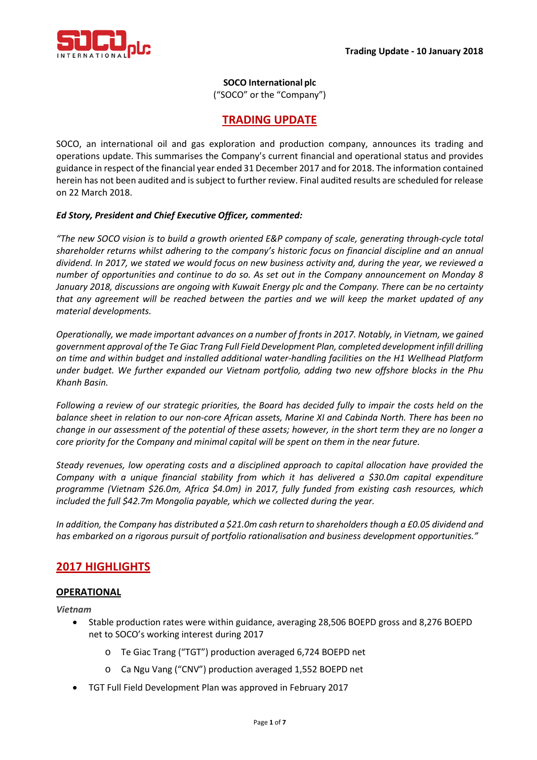

#### **SOCO International plc**

("SOCO" or the "Company")

# **TRADING UPDATE**

SOCO, an international oil and gas exploration and production company, announces its trading and operations update. This summarises the Company's current financial and operational status and provides guidance in respect of the financial year ended 31 December 2017 and for 2018. The information contained herein has not been audited and is subject to further review. Final audited results are scheduled for release on 22 March 2018.

### *Ed Story, President and Chief Executive Officer, commented:*

*"The new SOCO vision is to build a growth oriented E&P company of scale, generating through-cycle total shareholder returns whilst adhering to the company's historic focus on financial discipline and an annual dividend. In 2017, we stated we would focus on new business activity and, during the year, we reviewed a number of opportunities and continue to do so. As set out in the Company announcement on Monday 8 January 2018, discussions are ongoing with Kuwait Energy plc and the Company. There can be no certainty that any agreement will be reached between the parties and we will keep the market updated of any material developments.*

*Operationally, we made important advances on a number of fronts in 2017. Notably, in Vietnam, we gained government approval ofthe Te Giac Trang Full Field Development Plan, completed development infill drilling on time and within budget and installed additional water-handling facilities on the H1 Wellhead Platform under budget. We further expanded our Vietnam portfolio, adding two new offshore blocks in the Phu Khanh Basin.*

*Following a review of our strategic priorities, the Board has decided fully to impair the costs held on the balance sheet in relation to our non-core African assets, Marine XI and Cabinda North. There has been no change in our assessment of the potential of these assets; however, in the short term they are no longer a core priority for the Company and minimal capital will be spent on them in the near future.* 

*Steady revenues, low operating costs and a disciplined approach to capital allocation have provided the Company with a unique financial stability from which it has delivered a \$30.0m capital expenditure programme (Vietnam \$26.0m, Africa \$4.0m) in 2017, fully funded from existing cash resources, which included the full \$42.7m Mongolia payable, which we collected during the year.*

*In addition, the Company has distributed a \$21.0m cash return to shareholders though a £0.05 dividend and has embarked on a rigorous pursuit of portfolio rationalisation and business development opportunities."*

# **2017 HIGHLIGHTS**

### **OPERATIONAL**

*Vietnam*

- Stable production rates were within guidance, averaging 28,506 BOEPD gross and 8,276 BOEPD net to SOCO's working interest during 2017
	- o Te Giac Trang ("TGT") production averaged 6,724 BOEPD net
	- o Ca Ngu Vang ("CNV") production averaged 1,552 BOEPD net
- TGT Full Field Development Plan was approved in February 2017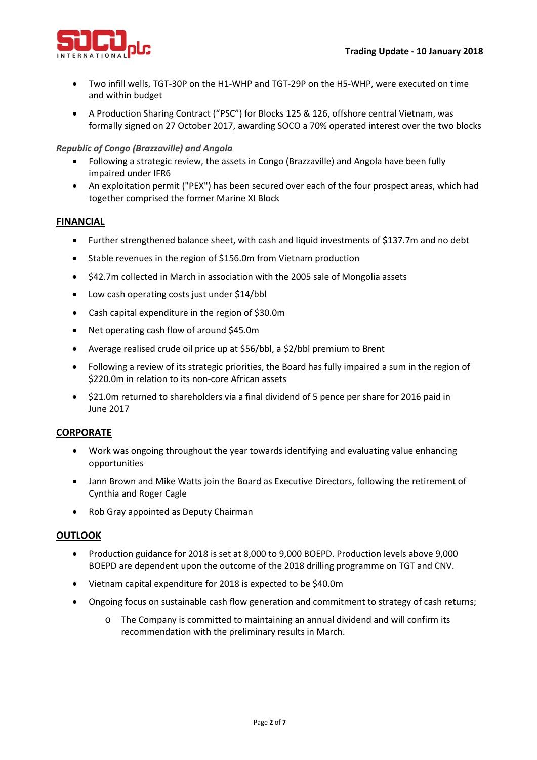

- Two infill wells, TGT-30P on the H1-WHP and TGT-29P on the H5-WHP, were executed on time and within budget
- A Production Sharing Contract ("PSC") for Blocks 125 & 126, offshore central Vietnam, was formally signed on 27 October 2017, awarding SOCO a 70% operated interest over the two blocks

### *Republic of Congo (Brazzaville) and Angola*

- Following a strategic review, the assets in Congo (Brazzaville) and Angola have been fully impaired under IFR6
- An exploitation permit ("PEX") has been secured over each of the four prospect areas, which had together comprised the former Marine XI Block

### **FINANCIAL**

- Further strengthened balance sheet, with cash and liquid investments of \$137.7m and no debt
- Stable revenues in the region of \$156.0m from Vietnam production
- \$42.7m collected in March in association with the 2005 sale of Mongolia assets
- Low cash operating costs just under \$14/bbl
- Cash capital expenditure in the region of \$30.0m
- Net operating cash flow of around \$45.0m
- Average realised crude oil price up at \$56/bbl, a \$2/bbl premium to Brent
- Following a review of its strategic priorities, the Board has fully impaired a sum in the region of \$220.0m in relation to its non-core African assets
- \$21.0m returned to shareholders via a final dividend of 5 pence per share for 2016 paid in June 2017

#### **CORPORATE**

- Work was ongoing throughout the year towards identifying and evaluating value enhancing opportunities
- Jann Brown and Mike Watts join the Board as Executive Directors, following the retirement of Cynthia and Roger Cagle
- Rob Gray appointed as Deputy Chairman

#### **OUTLOOK**

- Production guidance for 2018 is set at 8,000 to 9,000 BOEPD. Production levels above 9,000 BOEPD are dependent upon the outcome of the 2018 drilling programme on TGT and CNV.
- Vietnam capital expenditure for 2018 is expected to be \$40.0m
- Ongoing focus on sustainable cash flow generation and commitment to strategy of cash returns;
	- o The Company is committed to maintaining an annual dividend and will confirm its recommendation with the preliminary results in March.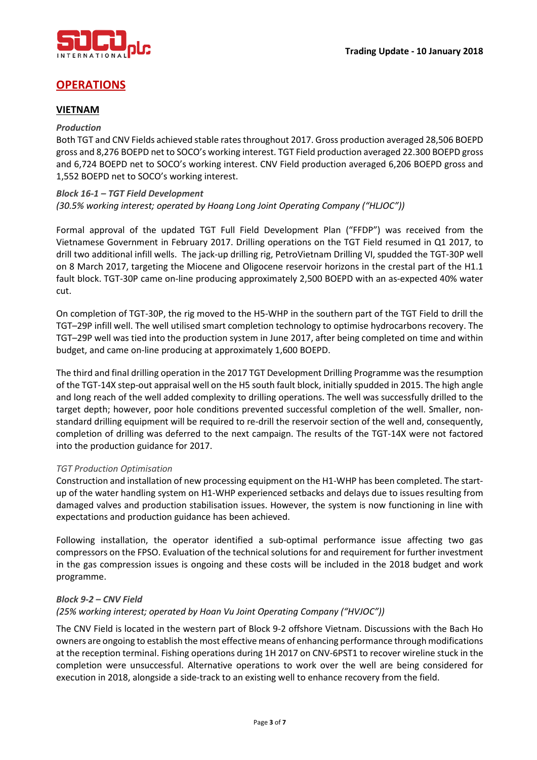

# **OPERATIONS**

### **VIETNAM**

#### *Production*

Both TGT and CNV Fields achieved stable rates throughout 2017. Gross production averaged 28,506 BOEPD gross and 8,276 BOEPD net to SOCO's working interest. TGT Field production averaged 22.300 BOEPD gross and 6,724 BOEPD net to SOCO's working interest. CNV Field production averaged 6,206 BOEPD gross and 1,552 BOEPD net to SOCO's working interest.

#### *Block 16-1 – TGT Field Development (30.5% working interest; operated by Hoang Long Joint Operating Company ("HLJOC"))*

Formal approval of the updated TGT Full Field Development Plan ("FFDP") was received from the Vietnamese Government in February 2017. Drilling operations on the TGT Field resumed in Q1 2017, to drill two additional infill wells. The jack-up drilling rig, PetroVietnam Drilling VI, spudded the TGT-30P well on 8 March 2017, targeting the Miocene and Oligocene reservoir horizons in the crestal part of the H1.1 fault block. TGT-30P came on-line producing approximately 2,500 BOEPD with an as-expected 40% water cut.

On completion of TGT-30P, the rig moved to the H5-WHP in the southern part of the TGT Field to drill the TGT–29P infill well. The well utilised smart completion technology to optimise hydrocarbons recovery. The TGT–29P well was tied into the production system in June 2017, after being completed on time and within budget, and came on-line producing at approximately 1,600 BOEPD.

The third and final drilling operation in the 2017 TGT Development Drilling Programme was the resumption of the TGT-14X step-out appraisal well on the H5 south fault block, initially spudded in 2015. The high angle and long reach of the well added complexity to drilling operations. The well was successfully drilled to the target depth; however, poor hole conditions prevented successful completion of the well. Smaller, nonstandard drilling equipment will be required to re-drill the reservoir section of the well and, consequently, completion of drilling was deferred to the next campaign. The results of the TGT-14X were not factored into the production guidance for 2017.

#### *TGT Production Optimisation*

Construction and installation of new processing equipment on the H1-WHP has been completed. The startup of the water handling system on H1-WHP experienced setbacks and delays due to issues resulting from damaged valves and production stabilisation issues. However, the system is now functioning in line with expectations and production guidance has been achieved.

Following installation, the operator identified a sub-optimal performance issue affecting two gas compressors on the FPSO. Evaluation of the technical solutions for and requirement for further investment in the gas compression issues is ongoing and these costs will be included in the 2018 budget and work programme.

# *Block 9-2 – CNV Field (25% working interest; operated by Hoan Vu Joint Operating Company ("HVJOC"))*

The CNV Field is located in the western part of Block 9-2 offshore Vietnam. Discussions with the Bach Ho owners are ongoing to establish the most effective means of enhancing performance through modifications at the reception terminal. Fishing operations during 1H 2017 on CNV-6PST1 to recover wireline stuck in the completion were unsuccessful. Alternative operations to work over the well are being considered for execution in 2018, alongside a side-track to an existing well to enhance recovery from the field.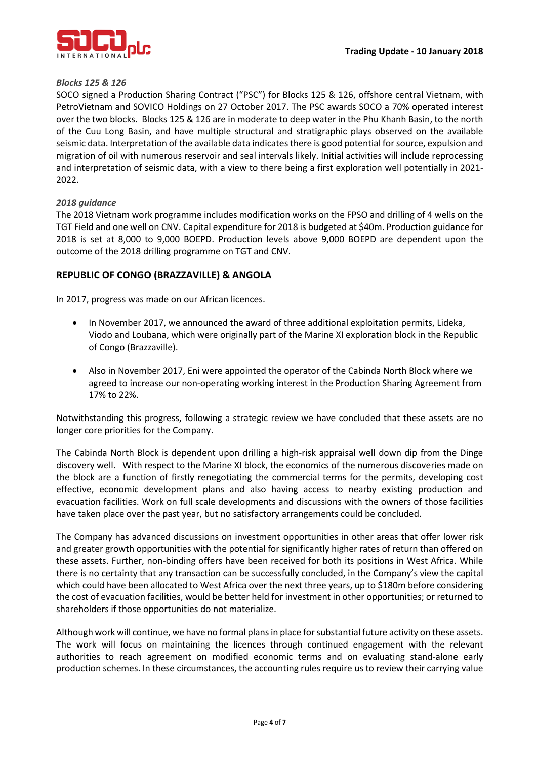

### *Blocks 125 & 126*

SOCO signed a Production Sharing Contract ("PSC") for Blocks 125 & 126, offshore central Vietnam, with PetroVietnam and SOVICO Holdings on 27 October 2017. The PSC awards SOCO a 70% operated interest over the two blocks. Blocks 125 & 126 are in moderate to deep water in the Phu Khanh Basin, to the north of the Cuu Long Basin, and have multiple structural and stratigraphic plays observed on the available seismic data. Interpretation of the available data indicates there is good potential for source, expulsion and migration of oil with numerous reservoir and seal intervals likely. Initial activities will include reprocessing and interpretation of seismic data, with a view to there being a first exploration well potentially in 2021- 2022.

### *2018 guidance*

The 2018 Vietnam work programme includes modification works on the FPSO and drilling of 4 wells on the TGT Field and one well on CNV. Capital expenditure for 2018 is budgeted at \$40m. Production guidance for 2018 is set at 8,000 to 9,000 BOEPD. Production levels above 9,000 BOEPD are dependent upon the outcome of the 2018 drilling programme on TGT and CNV.

### **REPUBLIC OF CONGO (BRAZZAVILLE) & ANGOLA**

In 2017, progress was made on our African licences.

- In November 2017, we announced the award of three additional exploitation permits, Lideka, Viodo and Loubana, which were originally part of the Marine XI exploration block in the Republic of Congo (Brazzaville).
- Also in November 2017, Eni were appointed the operator of the Cabinda North Block where we agreed to increase our non-operating working interest in the Production Sharing Agreement from 17% to 22%.

Notwithstanding this progress, following a strategic review we have concluded that these assets are no longer core priorities for the Company.

The Cabinda North Block is dependent upon drilling a high-risk appraisal well down dip from the Dinge discovery well. With respect to the Marine XI block, the economics of the numerous discoveries made on the block are a function of firstly renegotiating the commercial terms for the permits, developing cost effective, economic development plans and also having access to nearby existing production and evacuation facilities. Work on full scale developments and discussions with the owners of those facilities have taken place over the past year, but no satisfactory arrangements could be concluded.

The Company has advanced discussions on investment opportunities in other areas that offer lower risk and greater growth opportunities with the potential for significantly higher rates of return than offered on these assets. Further, non-binding offers have been received for both its positions in West Africa. While there is no certainty that any transaction can be successfully concluded, in the Company's view the capital which could have been allocated to West Africa over the next three years, up to \$180m before considering the cost of evacuation facilities, would be better held for investment in other opportunities; or returned to shareholders if those opportunities do not materialize.

Although work will continue, we have no formal plans in place forsubstantial future activity on these assets. The work will focus on maintaining the licences through continued engagement with the relevant authorities to reach agreement on modified economic terms and on evaluating stand-alone early production schemes. In these circumstances, the accounting rules require us to review their carrying value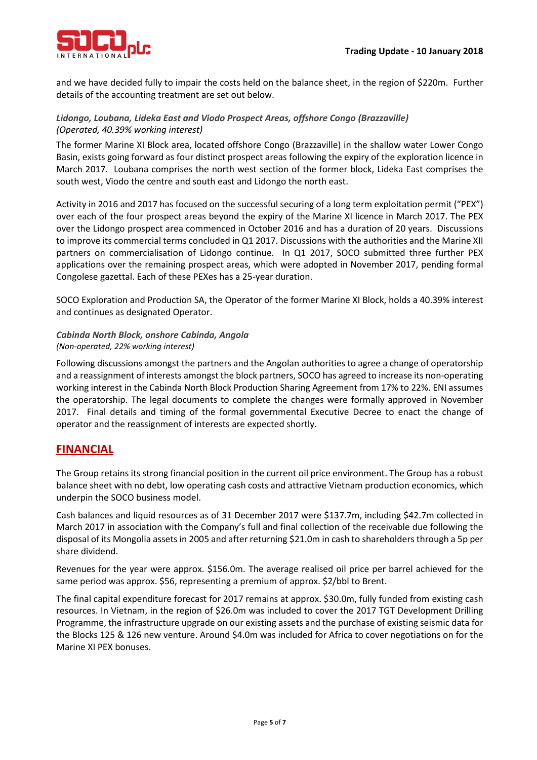and we have decided fully to impair the costs held on the balance sheet, in the region of \$220m. Further details of the accounting treatment are set out below.

### *Lidongo, Loubana, Lideka East and Viodo Prospect Areas, offshore Congo (Brazzaville) (Operated, 40.39% working interest)*

The former Marine XI Block area, located offshore Congo (Brazzaville) in the shallow water Lower Congo Basin, exists going forward as four distinct prospect areas following the expiry of the exploration licence in March 2017. Loubana comprises the north west section of the former block, Lideka East comprises the south west, Viodo the centre and south east and Lidongo the north east.

Activity in 2016 and 2017 has focused on the successful securing of a long term exploitation permit ("PEX") over each of the four prospect areas beyond the expiry of the Marine XI licence in March 2017. The PEX over the Lidongo prospect area commenced in October 2016 and has a duration of 20 years. Discussions to improve its commercial terms concluded in Q1 2017. Discussions with the authorities and the Marine XII partners on commercialisation of Lidongo continue. In Q1 2017, SOCO submitted three further PEX applications over the remaining prospect areas, which were adopted in November 2017, pending formal Congolese gazettal. Each of these PEXes has a 25-year duration.

SOCO Exploration and Production SA, the Operator of the former Marine XI Block, holds a 40.39% interest and continues as designated Operator.

### *Cabinda North Block, onshore Cabinda, Angola (Non-operated, 22% working interest)*

Following discussions amongst the partners and the Angolan authorities to agree a change of operatorship and a reassignment of interests amongst the block partners, SOCO has agreed to increase its non-operating working interest in the Cabinda North Block Production Sharing Agreement from 17% to 22%. ENI assumes the operatorship. The legal documents to complete the changes were formally approved in November 2017. Final details and timing of the formal governmental Executive Decree to enact the change of operator and the reassignment of interests are expected shortly.

# **FINANCIAL**

The Group retains its strong financial position in the current oil price environment. The Group has a robust balance sheet with no debt, low operating cash costs and attractive Vietnam production economics, which underpin the SOCO business model.

Cash balances and liquid resources as of 31 December 2017 were \$137.7m, including \$42.7m collected in March 2017 in association with the Company's full and final collection of the receivable due following the disposal of its Mongolia assets in 2005 and after returning \$21.0m in cash to shareholders through a 5p per share dividend.

Revenues for the year were approx. \$156.0m. The average realised oil price per barrel achieved for the same period was approx. \$56, representing a premium of approx. \$2/bbl to Brent.

The final capital expenditure forecast for 2017 remains at approx. \$30.0m, fully funded from existing cash resources. In Vietnam, in the region of \$26.0m was included to cover the 2017 TGT Development Drilling Programme, the infrastructure upgrade on our existing assets and the purchase of existing seismic data for the Blocks 125 & 126 new venture. Around \$4.0m was included for Africa to cover negotiations on for the Marine XI PEX bonuses.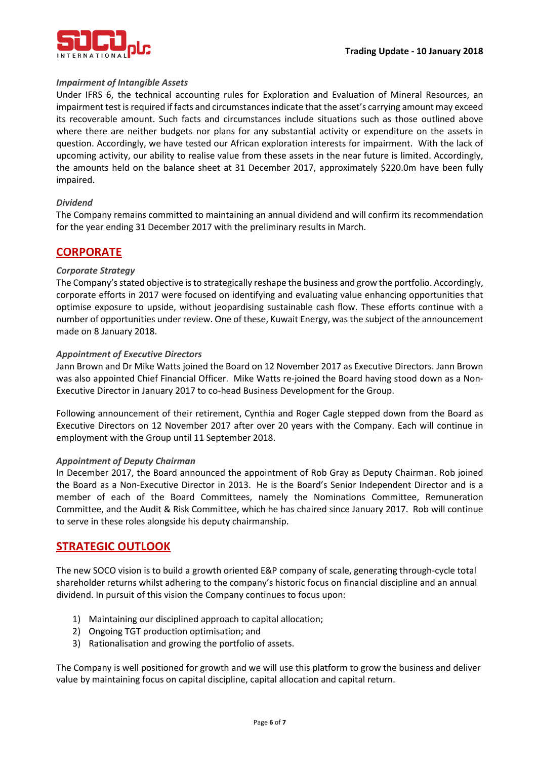

#### *Impairment of Intangible Assets*

Under IFRS 6, the technical accounting rules for Exploration and Evaluation of Mineral Resources, an impairment test is required if facts and circumstances indicate that the asset's carrying amount may exceed its recoverable amount. Such facts and circumstances include situations such as those outlined above where there are neither budgets nor plans for any substantial activity or expenditure on the assets in question. Accordingly, we have tested our African exploration interests for impairment. With the lack of upcoming activity, our ability to realise value from these assets in the near future is limited. Accordingly, the amounts held on the balance sheet at 31 December 2017, approximately \$220.0m have been fully impaired.

#### *Dividend*

The Company remains committed to maintaining an annual dividend and will confirm its recommendation for the year ending 31 December 2017 with the preliminary results in March.

# **CORPORATE**

#### *Corporate Strategy*

The Company's stated objective is to strategically reshape the business and grow the portfolio. Accordingly, corporate efforts in 2017 were focused on identifying and evaluating value enhancing opportunities that optimise exposure to upside, without jeopardising sustainable cash flow. These efforts continue with a number of opportunities under review. One of these, Kuwait Energy, was the subject of the announcement made on 8 January 2018.

#### *Appointment of Executive Directors*

Jann Brown and Dr Mike Watts joined the Board on 12 November 2017 as Executive Directors. Jann Brown was also appointed Chief Financial Officer. Mike Watts re-joined the Board having stood down as a Non-Executive Director in January 2017 to co-head Business Development for the Group.

Following announcement of their retirement, Cynthia and Roger Cagle stepped down from the Board as Executive Directors on 12 November 2017 after over 20 years with the Company. Each will continue in employment with the Group until 11 September 2018.

#### *Appointment of Deputy Chairman*

In December 2017, the Board announced the appointment of Rob Gray as Deputy Chairman. Rob joined the Board as a Non-Executive Director in 2013. He is the Board's Senior Independent Director and is a member of each of the Board Committees, namely the Nominations Committee, Remuneration Committee, and the Audit & Risk Committee, which he has chaired since January 2017. Rob will continue to serve in these roles alongside his deputy chairmanship.

### **STRATEGIC OUTLOOK**

The new SOCO vision is to build a growth oriented E&P company of scale, generating through-cycle total shareholder returns whilst adhering to the company's historic focus on financial discipline and an annual dividend. In pursuit of this vision the Company continues to focus upon:

- 1) Maintaining our disciplined approach to capital allocation;
- 2) Ongoing TGT production optimisation; and
- 3) Rationalisation and growing the portfolio of assets.

The Company is well positioned for growth and we will use this platform to grow the business and deliver value by maintaining focus on capital discipline, capital allocation and capital return.